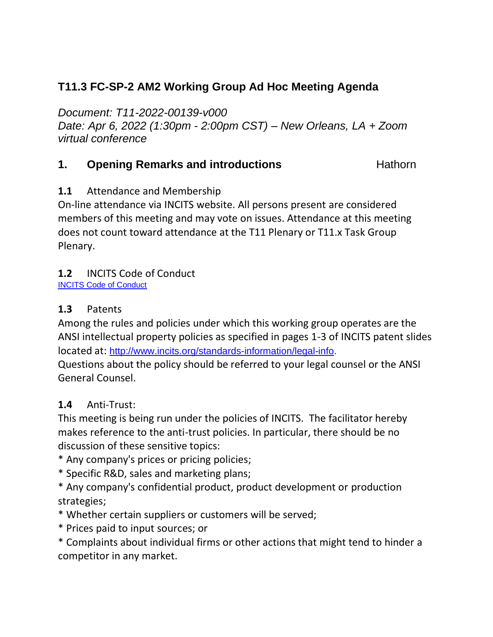# **T11.3 FC-SP-2 AM2 Working Group Ad Hoc Meeting Agenda**

*Document: T11-2022-00139-v000*

*Date: Apr 6, 2022 (1:30pm - 2:00pm CST) – New Orleans, LA + Zoom virtual conference*

## **1. Opening Remarks and introductions Hathorn**

## **1.1** Attendance and Membership

On-line attendance via INCITS website. All persons present are considered members of this meeting and may vote on issues. Attendance at this meeting does not count toward attendance at the T11 Plenary or T11.x Task Group Plenary.

## **1.2** INCITS Code of Conduct

[INCITS Code of Conduct](https://standards.incits.org/apps/group_public/download.php/127632/eb-2021-00111-INCITS%20Code%20of%20Conduct.pdf)

#### **1.3** Patents

Among the rules and policies under which this working group operates are the ANSI intellectual property policies as specified in pages 1-3 of INCITS patent slides located at: [http://www.incits.org/standards-information/legal-info.](http://www.incits.org/standards-information/legal-info)

Questions about the policy should be referred to your legal counsel or the ANSI General Counsel.

#### **1.4** Anti-Trust:

This meeting is being run under the policies of INCITS. The facilitator hereby makes reference to the anti-trust policies. In particular, there should be no discussion of these sensitive topics:

- \* Any company's prices or pricing policies;
- \* Specific R&D, sales and marketing plans;
- \* Any company's confidential product, product development or production strategies;
- \* Whether certain suppliers or customers will be served;
- \* Prices paid to input sources; or
- \* Complaints about individual firms or other actions that might tend to hinder a competitor in any market.